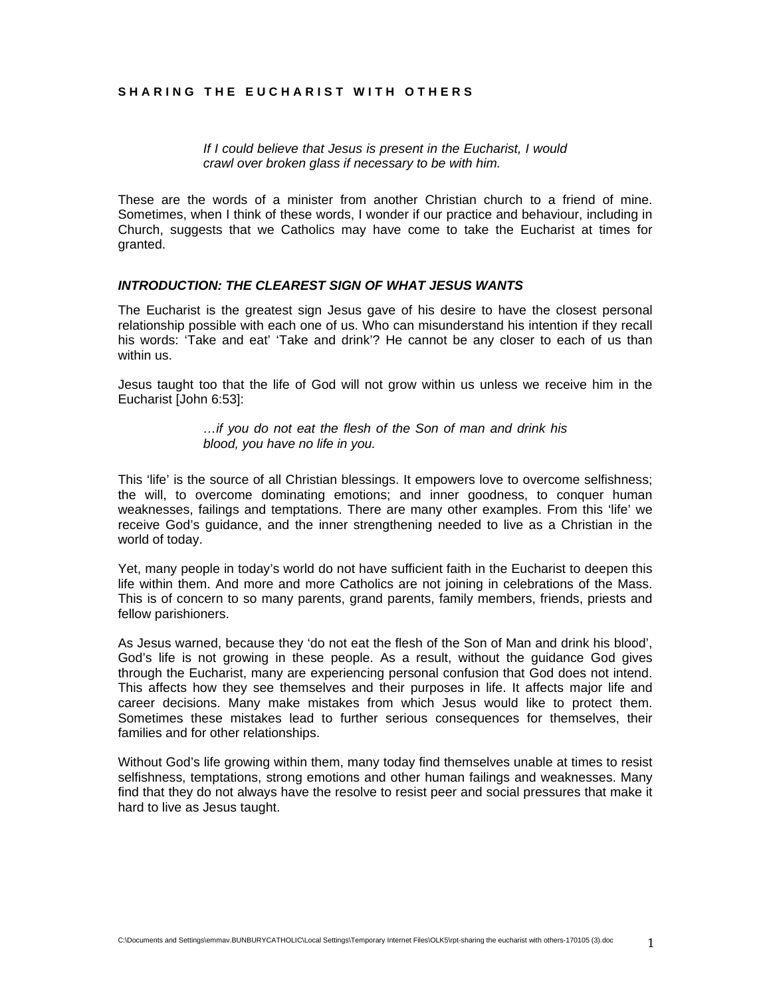#### **SHARING THE EUCHARIST WITH OTHERS**

*If I could believe that Jesus is present in the Eucharist, I would crawl over broken glass if necessary to be with him.* 

These are the words of a minister from another Christian church to a friend of mine. Sometimes, when I think of these words, I wonder if our practice and behaviour, including in Church, suggests that we Catholics may have come to take the Eucharist at times for granted.

#### *INTRODUCTION: THE CLEAREST SIGN OF WHAT JESUS WANTS*

The Eucharist is the greatest sign Jesus gave of his desire to have the closest personal relationship possible with each one of us. Who can misunderstand his intention if they recall his words: 'Take and eat' 'Take and drink'? He cannot be any closer to each of us than within us.

Jesus taught too that the life of God will not grow within us unless we receive him in the Eucharist [John 6:53]:

> *…if you do not eat the flesh of the Son of man and drink his blood, you have no life in you.*

This 'life' is the source of all Christian blessings. It empowers love to overcome selfishness; the will, to overcome dominating emotions; and inner goodness, to conquer human weaknesses, failings and temptations. There are many other examples. From this 'life' we receive God's guidance, and the inner strengthening needed to live as a Christian in the world of today.

Yet, many people in today's world do not have sufficient faith in the Eucharist to deepen this life within them. And more and more Catholics are not joining in celebrations of the Mass. This is of concern to so many parents, grand parents, family members, friends, priests and fellow parishioners.

As Jesus warned, because they 'do not eat the flesh of the Son of Man and drink his blood', God's life is not growing in these people. As a result, without the guidance God gives through the Eucharist, many are experiencing personal confusion that God does not intend. This affects how they see themselves and their purposes in life. It affects major life and career decisions. Many make mistakes from which Jesus would like to protect them. Sometimes these mistakes lead to further serious consequences for themselves, their families and for other relationships.

Without God's life growing within them, many today find themselves unable at times to resist selfishness, temptations, strong emotions and other human failings and weaknesses. Many find that they do not always have the resolve to resist peer and social pressures that make it hard to live as Jesus taught.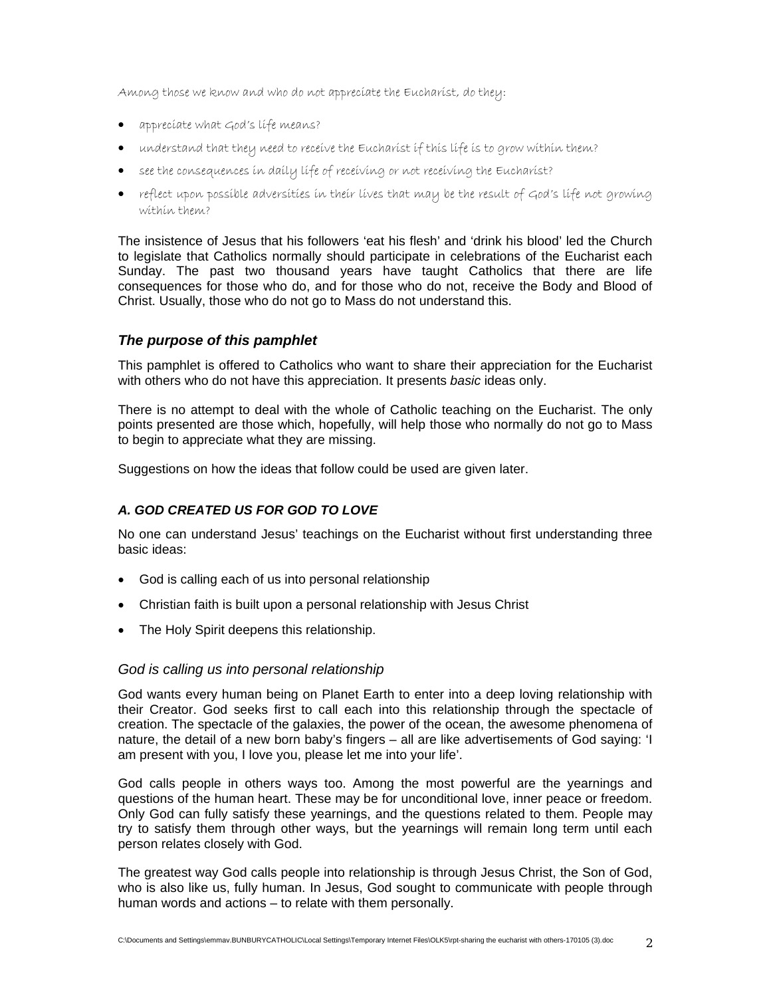Among those we know and who do not appreciate the Eucharist, do they:

- appreciate what God's life means?
- understand that they need to receive the Eucharist if this life is to grow within them?
- see the consequences in daily life of receiving or not receiving the Eucharist?
- reflect upon possible adversities in their lives that may be the result of God's life not growing within them?

The insistence of Jesus that his followers 'eat his flesh' and 'drink his blood' led the Church to legislate that Catholics normally should participate in celebrations of the Eucharist each Sunday. The past two thousand years have taught Catholics that there are life consequences for those who do, and for those who do not, receive the Body and Blood of Christ. Usually, those who do not go to Mass do not understand this.

# *The purpose of this pamphlet*

This pamphlet is offered to Catholics who want to share their appreciation for the Eucharist with others who do not have this appreciation. It presents *basic* ideas only.

There is no attempt to deal with the whole of Catholic teaching on the Eucharist. The only points presented are those which, hopefully, will help those who normally do not go to Mass to begin to appreciate what they are missing.

Suggestions on how the ideas that follow could be used are given later.

# *A. GOD CREATED US FOR GOD TO LOVE*

No one can understand Jesus' teachings on the Eucharist without first understanding three basic ideas:

- God is calling each of us into personal relationship
- Christian faith is built upon a personal relationship with Jesus Christ
- The Holy Spirit deepens this relationship.

#### *God is calling us into personal relationship*

God wants every human being on Planet Earth to enter into a deep loving relationship with their Creator. God seeks first to call each into this relationship through the spectacle of creation. The spectacle of the galaxies, the power of the ocean, the awesome phenomena of nature, the detail of a new born baby's fingers – all are like advertisements of God saying: 'I am present with you, I love you, please let me into your life'.

God calls people in others ways too. Among the most powerful are the yearnings and questions of the human heart. These may be for unconditional love, inner peace or freedom. Only God can fully satisfy these yearnings, and the questions related to them. People may try to satisfy them through other ways, but the yearnings will remain long term until each person relates closely with God.

The greatest way God calls people into relationship is through Jesus Christ, the Son of God, who is also like us, fully human. In Jesus, God sought to communicate with people through human words and actions – to relate with them personally.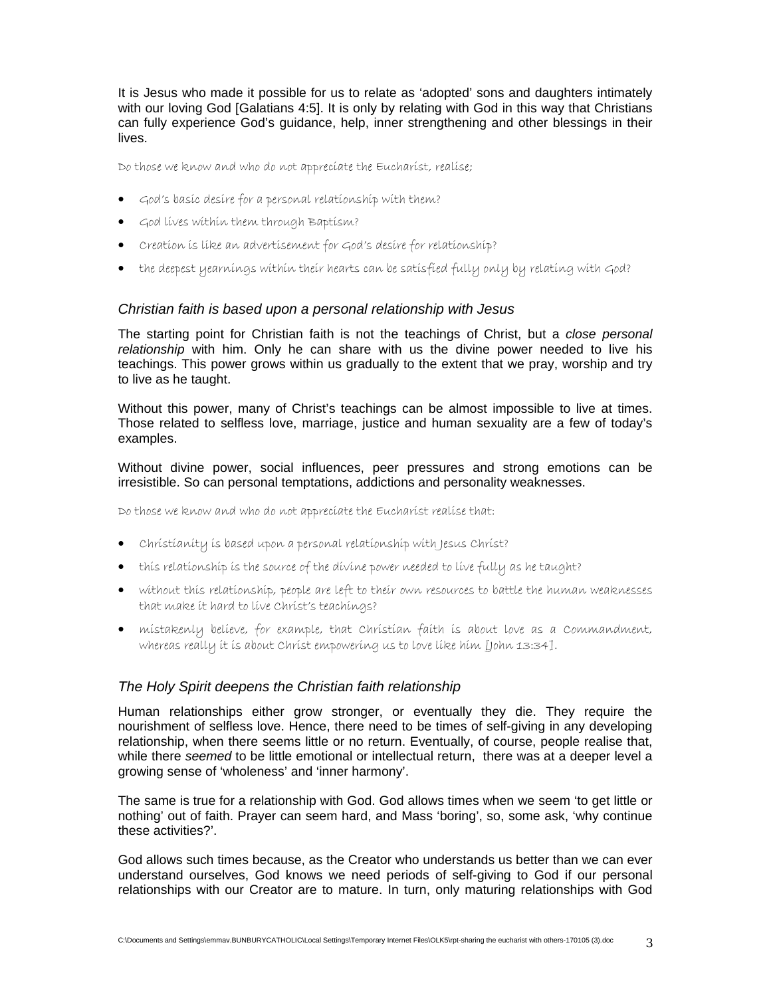It is Jesus who made it possible for us to relate as 'adopted' sons and daughters intimately with our loving God [Galatians 4:5]. It is only by relating with God in this way that Christians can fully experience God's guidance, help, inner strengthening and other blessings in their lives.

Do those we know and who do not appreciate the Eucharist, realise;

- God's basic desire for a personal relationship with them?
- God lives within them through Baptism?
- Creation is like an advertisement for God's desire for relationship?
- the deepest yearnings within their hearts can be satisfied fully only by relating with God?

## *Christian faith is based upon a personal relationship with Jesus*

The starting point for Christian faith is not the teachings of Christ, but a *close personal relationship* with him. Only he can share with us the divine power needed to live his teachings. This power grows within us gradually to the extent that we pray, worship and try to live as he taught.

Without this power, many of Christ's teachings can be almost impossible to live at times. Those related to selfless love, marriage, justice and human sexuality are a few of today's examples.

Without divine power, social influences, peer pressures and strong emotions can be irresistible. So can personal temptations, addictions and personality weaknesses.

Do those we know and who do not appreciate the Eucharist realise that:

- Christianity is based upon a personal relationship with Jesus Christ?
- this relationship is the source of the divine power needed to live fully as he taught?
- without this relationship, people are left to their own resources to battle the human weaknesses that make it hard to live Christ's teachings?
- mistakenly believe, for example, that Christian faith is about love as a Commandment, whereas really it is about Christ empowering us to love like him [John 13:34].

# *The Holy Spirit deepens the Christian faith relationship*

Human relationships either grow stronger, or eventually they die. They require the nourishment of selfless love. Hence, there need to be times of self-giving in any developing relationship, when there seems little or no return. Eventually, of course, people realise that, while there *seemed* to be little emotional or intellectual return, there was at a deeper level a growing sense of 'wholeness' and 'inner harmony'.

The same is true for a relationship with God. God allows times when we seem 'to get little or nothing' out of faith. Prayer can seem hard, and Mass 'boring', so, some ask, 'why continue these activities?'.

God allows such times because, as the Creator who understands us better than we can ever understand ourselves, God knows we need periods of self-giving to God if our personal relationships with our Creator are to mature. In turn, only maturing relationships with God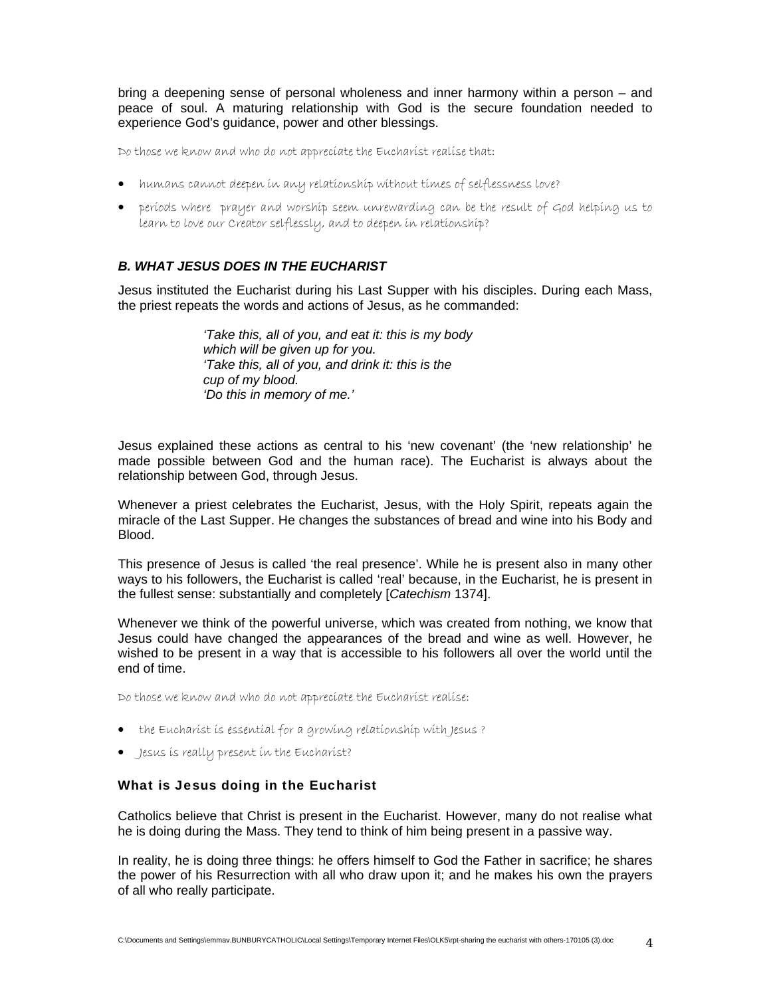bring a deepening sense of personal wholeness and inner harmony within a person – and peace of soul. A maturing relationship with God is the secure foundation needed to experience God's guidance, power and other blessings.

Do those we know and who do not appreciate the Eucharist realise that:

- humans cannot deepen in any relationship without times of selflessness love?
- periods where prayer and worship seem unrewarding can be the result of God helping us to learn to love our Creator selflessly, and to deepen in relationship?

# *B. WHAT JESUS DOES IN THE EUCHARIST*

Jesus instituted the Eucharist during his Last Supper with his disciples. During each Mass, the priest repeats the words and actions of Jesus, as he commanded:

> *'Take this, all of you, and eat it: this is my body which will be given up for you. 'Take this, all of you, and drink it: this is the cup of my blood. 'Do this in memory of me.'*

Jesus explained these actions as central to his 'new covenant' (the 'new relationship' he made possible between God and the human race). The Eucharist is always about the relationship between God, through Jesus.

Whenever a priest celebrates the Eucharist, Jesus, with the Holy Spirit, repeats again the miracle of the Last Supper. He changes the substances of bread and wine into his Body and Blood.

This presence of Jesus is called 'the real presence'. While he is present also in many other ways to his followers, the Eucharist is called 'real' because, in the Eucharist, he is present in the fullest sense: substantially and completely [*Catechism* 1374].

Whenever we think of the powerful universe, which was created from nothing, we know that Jesus could have changed the appearances of the bread and wine as well. However, he wished to be present in a way that is accessible to his followers all over the world until the end of time.

Do those we know and who do not appreciate the Eucharist realise:

- the Eucharist is essential for a growing relationship with Jesus?
- Jesus is really present in the Eucharist?

#### What is Jesus doing in the Eucharist

Catholics believe that Christ is present in the Eucharist. However, many do not realise what he is doing during the Mass. They tend to think of him being present in a passive way.

In reality, he is doing three things: he offers himself to God the Father in sacrifice; he shares the power of his Resurrection with all who draw upon it; and he makes his own the prayers of all who really participate.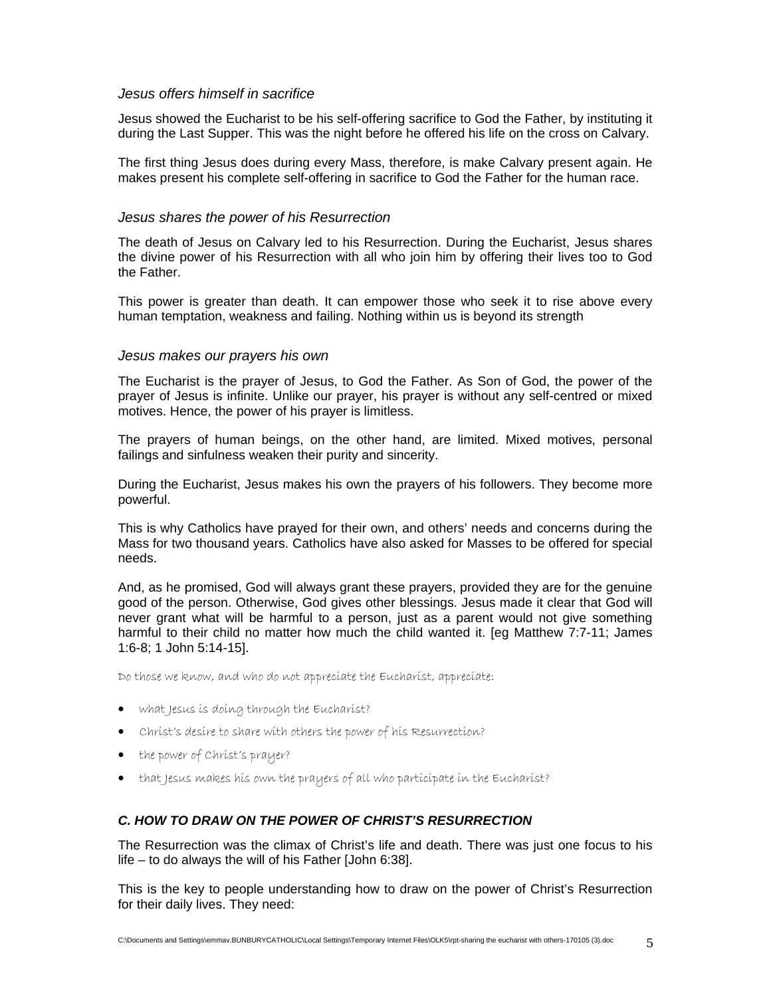## *Jesus offers himself in sacrifice*

Jesus showed the Eucharist to be his self-offering sacrifice to God the Father, by instituting it during the Last Supper. This was the night before he offered his life on the cross on Calvary.

The first thing Jesus does during every Mass, therefore, is make Calvary present again. He makes present his complete self-offering in sacrifice to God the Father for the human race.

## *Jesus shares the power of his Resurrection*

The death of Jesus on Calvary led to his Resurrection. During the Eucharist, Jesus shares the divine power of his Resurrection with all who join him by offering their lives too to God the Father.

This power is greater than death. It can empower those who seek it to rise above every human temptation, weakness and failing. Nothing within us is beyond its strength

## *Jesus makes our prayers his own*

The Eucharist is the prayer of Jesus, to God the Father. As Son of God, the power of the prayer of Jesus is infinite. Unlike our prayer, his prayer is without any self-centred or mixed motives. Hence, the power of his prayer is limitless.

The prayers of human beings, on the other hand, are limited. Mixed motives, personal failings and sinfulness weaken their purity and sincerity.

During the Eucharist, Jesus makes his own the prayers of his followers. They become more powerful.

This is why Catholics have prayed for their own, and others' needs and concerns during the Mass for two thousand years. Catholics have also asked for Masses to be offered for special needs.

And, as he promised, God will always grant these prayers, provided they are for the genuine good of the person. Otherwise, God gives other blessings. Jesus made it clear that God will never grant what will be harmful to a person, just as a parent would not give something harmful to their child no matter how much the child wanted it. [eg Matthew 7:7-11; James 1:6-8; 1 John 5:14-15].

Do those we know, and who do not appreciate the Eucharist, appreciate:

- what Jesus is doing through the Eucharist?
- Christ's desire to share with others the power of his Resurrection?
- the power of Christ's prayer?
- that Jesus makes his own the prayers of all who participate in the Eucharist?

# *C. HOW TO DRAW ON THE POWER OF CHRIST'S RESURRECTION*

The Resurrection was the climax of Christ's life and death. There was just one focus to his life – to do always the will of his Father [John 6:38].

This is the key to people understanding how to draw on the power of Christ's Resurrection for their daily lives. They need: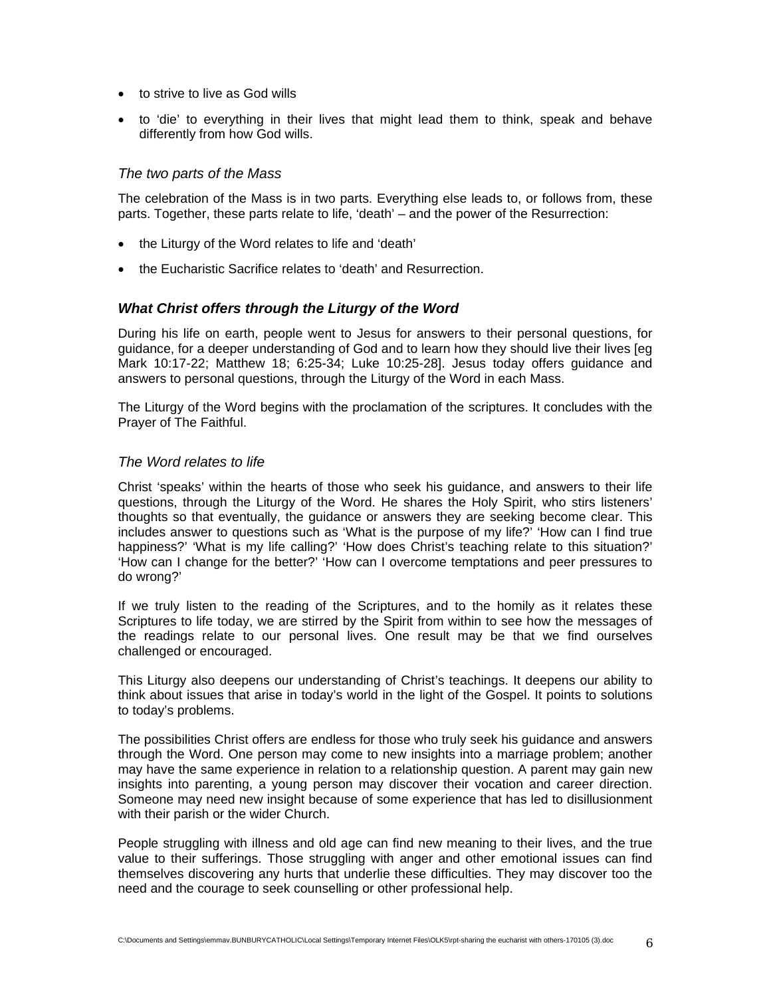- to strive to live as God wills
- to 'die' to everything in their lives that might lead them to think, speak and behave differently from how God wills.

# *The two parts of the Mass*

The celebration of the Mass is in two parts. Everything else leads to, or follows from, these parts. Together, these parts relate to life, 'death' – and the power of the Resurrection:

- the Liturgy of the Word relates to life and 'death'
- the Eucharistic Sacrifice relates to 'death' and Resurrection.

# *What Christ offers through the Liturgy of the Word*

During his life on earth, people went to Jesus for answers to their personal questions, for guidance, for a deeper understanding of God and to learn how they should live their lives [eg Mark 10:17-22; Matthew 18; 6:25-34; Luke 10:25-28]. Jesus today offers guidance and answers to personal questions, through the Liturgy of the Word in each Mass.

The Liturgy of the Word begins with the proclamation of the scriptures. It concludes with the Prayer of The Faithful.

# *The Word relates to life*

Christ 'speaks' within the hearts of those who seek his guidance, and answers to their life questions, through the Liturgy of the Word. He shares the Holy Spirit, who stirs listeners' thoughts so that eventually, the guidance or answers they are seeking become clear. This includes answer to questions such as 'What is the purpose of my life?' 'How can I find true happiness?' 'What is my life calling?' 'How does Christ's teaching relate to this situation?' 'How can I change for the better?' 'How can I overcome temptations and peer pressures to do wrong?'

If we truly listen to the reading of the Scriptures, and to the homily as it relates these Scriptures to life today, we are stirred by the Spirit from within to see how the messages of the readings relate to our personal lives. One result may be that we find ourselves challenged or encouraged.

This Liturgy also deepens our understanding of Christ's teachings. It deepens our ability to think about issues that arise in today's world in the light of the Gospel. It points to solutions to today's problems.

The possibilities Christ offers are endless for those who truly seek his guidance and answers through the Word. One person may come to new insights into a marriage problem; another may have the same experience in relation to a relationship question. A parent may gain new insights into parenting, a young person may discover their vocation and career direction. Someone may need new insight because of some experience that has led to disillusionment with their parish or the wider Church.

People struggling with illness and old age can find new meaning to their lives, and the true value to their sufferings. Those struggling with anger and other emotional issues can find themselves discovering any hurts that underlie these difficulties. They may discover too the need and the courage to seek counselling or other professional help.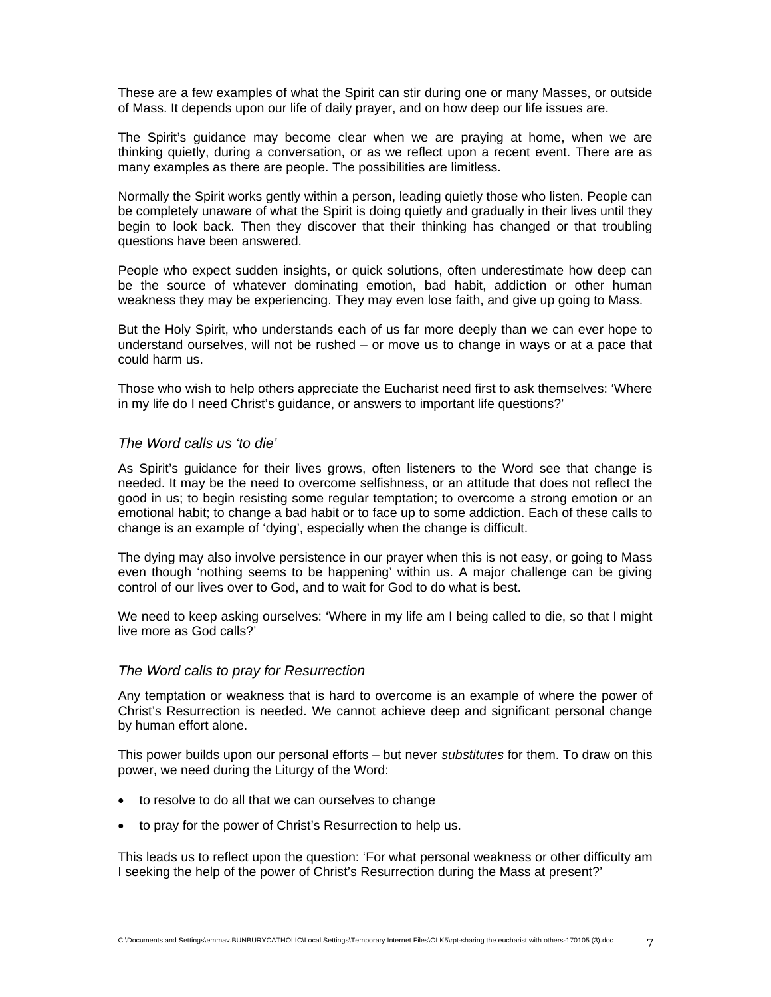These are a few examples of what the Spirit can stir during one or many Masses, or outside of Mass. It depends upon our life of daily prayer, and on how deep our life issues are.

The Spirit's guidance may become clear when we are praying at home, when we are thinking quietly, during a conversation, or as we reflect upon a recent event. There are as many examples as there are people. The possibilities are limitless.

Normally the Spirit works gently within a person, leading quietly those who listen. People can be completely unaware of what the Spirit is doing quietly and gradually in their lives until they begin to look back. Then they discover that their thinking has changed or that troubling questions have been answered.

People who expect sudden insights, or quick solutions, often underestimate how deep can be the source of whatever dominating emotion, bad habit, addiction or other human weakness they may be experiencing. They may even lose faith, and give up going to Mass.

But the Holy Spirit, who understands each of us far more deeply than we can ever hope to understand ourselves, will not be rushed – or move us to change in ways or at a pace that could harm us.

Those who wish to help others appreciate the Eucharist need first to ask themselves: 'Where in my life do I need Christ's guidance, or answers to important life questions?'

## *The Word calls us 'to die'*

As Spirit's guidance for their lives grows, often listeners to the Word see that change is needed. It may be the need to overcome selfishness, or an attitude that does not reflect the good in us; to begin resisting some regular temptation; to overcome a strong emotion or an emotional habit; to change a bad habit or to face up to some addiction. Each of these calls to change is an example of 'dying', especially when the change is difficult.

The dying may also involve persistence in our prayer when this is not easy, or going to Mass even though 'nothing seems to be happening' within us. A major challenge can be giving control of our lives over to God, and to wait for God to do what is best.

We need to keep asking ourselves: 'Where in my life am I being called to die, so that I might live more as God calls?'

#### *The Word calls to pray for Resurrection*

Any temptation or weakness that is hard to overcome is an example of where the power of Christ's Resurrection is needed. We cannot achieve deep and significant personal change by human effort alone.

This power builds upon our personal efforts – but never *substitutes* for them. To draw on this power, we need during the Liturgy of the Word:

- to resolve to do all that we can ourselves to change
- to pray for the power of Christ's Resurrection to help us.

This leads us to reflect upon the question: 'For what personal weakness or other difficulty am I seeking the help of the power of Christ's Resurrection during the Mass at present?'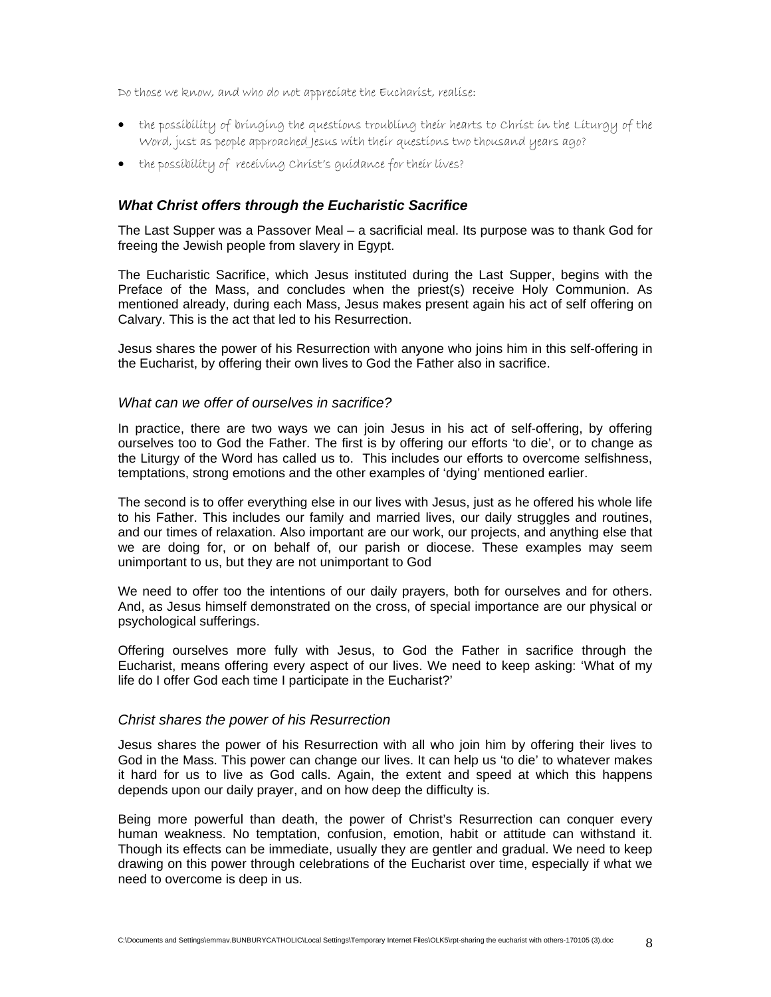Do those we know, and who do not appreciate the Eucharist, realise:

- the possibility of bringing the questions troubling their hearts to Christ in the Liturgy of the Word, just as people approached Jesus with their questions two thousand years ago?
- the possibility of receiving Christ's guidance for their lives?

# *What Christ offers through the Eucharistic Sacrifice*

The Last Supper was a Passover Meal – a sacrificial meal. Its purpose was to thank God for freeing the Jewish people from slavery in Egypt.

The Eucharistic Sacrifice, which Jesus instituted during the Last Supper, begins with the Preface of the Mass, and concludes when the priest(s) receive Holy Communion. As mentioned already, during each Mass, Jesus makes present again his act of self offering on Calvary. This is the act that led to his Resurrection.

Jesus shares the power of his Resurrection with anyone who joins him in this self-offering in the Eucharist, by offering their own lives to God the Father also in sacrifice.

## *What can we offer of ourselves in sacrifice?*

In practice, there are two ways we can join Jesus in his act of self-offering, by offering ourselves too to God the Father. The first is by offering our efforts 'to die', or to change as the Liturgy of the Word has called us to. This includes our efforts to overcome selfishness, temptations, strong emotions and the other examples of 'dying' mentioned earlier.

The second is to offer everything else in our lives with Jesus, just as he offered his whole life to his Father. This includes our family and married lives, our daily struggles and routines, and our times of relaxation. Also important are our work, our projects, and anything else that we are doing for, or on behalf of, our parish or diocese. These examples may seem unimportant to us, but they are not unimportant to God

We need to offer too the intentions of our daily prayers, both for ourselves and for others. And, as Jesus himself demonstrated on the cross, of special importance are our physical or psychological sufferings.

Offering ourselves more fully with Jesus, to God the Father in sacrifice through the Eucharist, means offering every aspect of our lives. We need to keep asking: 'What of my life do I offer God each time I participate in the Eucharist?'

#### *Christ shares the power of his Resurrection*

Jesus shares the power of his Resurrection with all who join him by offering their lives to God in the Mass. This power can change our lives. It can help us 'to die' to whatever makes it hard for us to live as God calls. Again, the extent and speed at which this happens depends upon our daily prayer, and on how deep the difficulty is.

Being more powerful than death, the power of Christ's Resurrection can conquer every human weakness. No temptation, confusion, emotion, habit or attitude can withstand it. Though its effects can be immediate, usually they are gentler and gradual. We need to keep drawing on this power through celebrations of the Eucharist over time, especially if what we need to overcome is deep in us.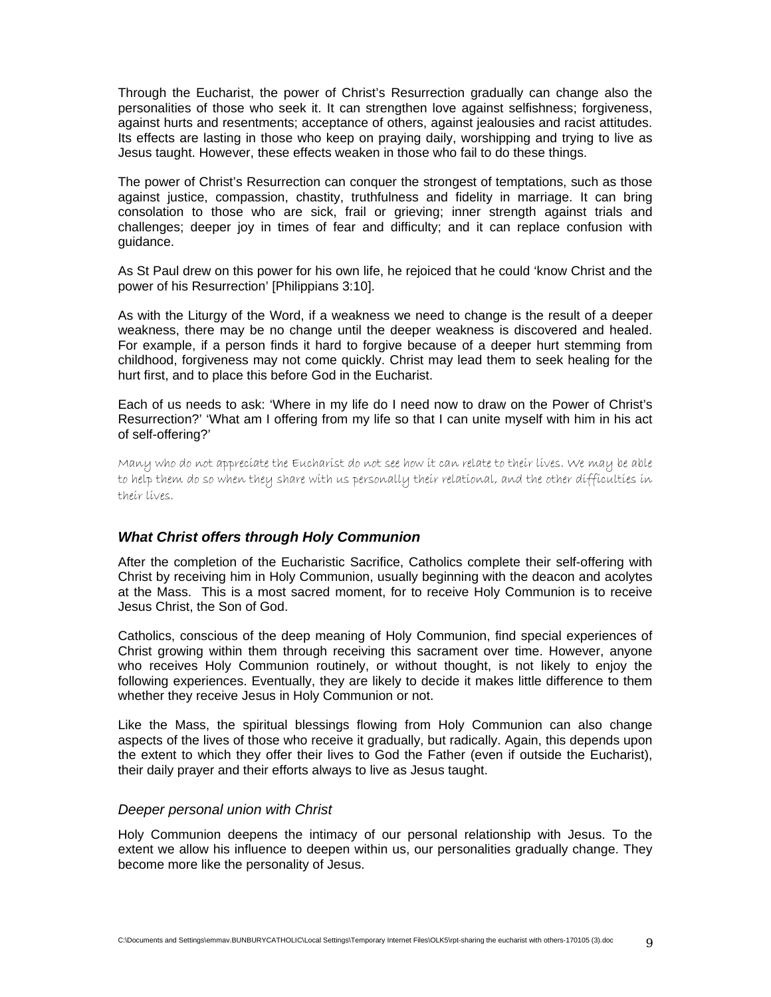Through the Eucharist, the power of Christ's Resurrection gradually can change also the personalities of those who seek it. It can strengthen love against selfishness; forgiveness, against hurts and resentments; acceptance of others, against jealousies and racist attitudes. Its effects are lasting in those who keep on praying daily, worshipping and trying to live as Jesus taught. However, these effects weaken in those who fail to do these things.

The power of Christ's Resurrection can conquer the strongest of temptations, such as those against justice, compassion, chastity, truthfulness and fidelity in marriage. It can bring consolation to those who are sick, frail or grieving; inner strength against trials and challenges; deeper joy in times of fear and difficulty; and it can replace confusion with guidance.

As St Paul drew on this power for his own life, he rejoiced that he could 'know Christ and the power of his Resurrection' [Philippians 3:10].

As with the Liturgy of the Word, if a weakness we need to change is the result of a deeper weakness, there may be no change until the deeper weakness is discovered and healed. For example, if a person finds it hard to forgive because of a deeper hurt stemming from childhood, forgiveness may not come quickly. Christ may lead them to seek healing for the hurt first, and to place this before God in the Eucharist.

Each of us needs to ask: 'Where in my life do I need now to draw on the Power of Christ's Resurrection?' 'What am I offering from my life so that I can unite myself with him in his act of self-offering?'

Many who do not appreciate the Eucharist do not see how it can relate to their lives. We may be able to help them do so when they share with us personally their relational, and the other difficulties in their lives.

# *What Christ offers through Holy Communion*

After the completion of the Eucharistic Sacrifice, Catholics complete their self-offering with Christ by receiving him in Holy Communion, usually beginning with the deacon and acolytes at the Mass. This is a most sacred moment, for to receive Holy Communion is to receive Jesus Christ, the Son of God.

Catholics, conscious of the deep meaning of Holy Communion, find special experiences of Christ growing within them through receiving this sacrament over time. However, anyone who receives Holy Communion routinely, or without thought, is not likely to enjoy the following experiences. Eventually, they are likely to decide it makes little difference to them whether they receive Jesus in Holy Communion or not.

Like the Mass, the spiritual blessings flowing from Holy Communion can also change aspects of the lives of those who receive it gradually, but radically. Again, this depends upon the extent to which they offer their lives to God the Father (even if outside the Eucharist), their daily prayer and their efforts always to live as Jesus taught.

#### *Deeper personal union with Christ*

Holy Communion deepens the intimacy of our personal relationship with Jesus. To the extent we allow his influence to deepen within us, our personalities gradually change. They become more like the personality of Jesus.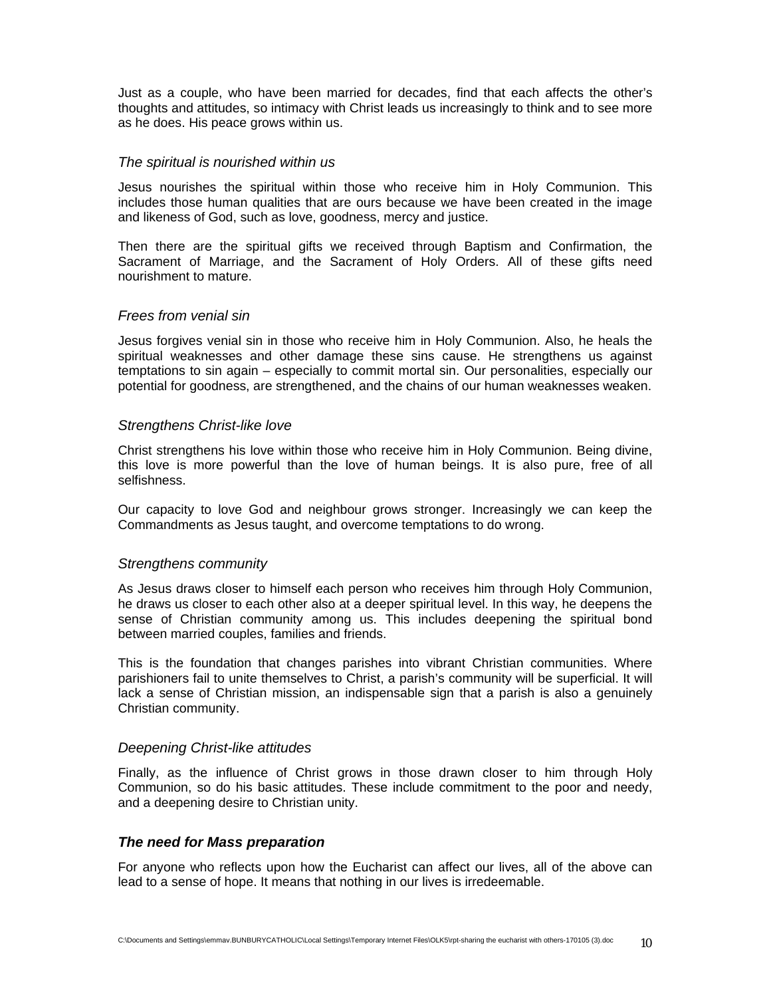Just as a couple, who have been married for decades, find that each affects the other's thoughts and attitudes, so intimacy with Christ leads us increasingly to think and to see more as he does. His peace grows within us.

## *The spiritual is nourished within us*

Jesus nourishes the spiritual within those who receive him in Holy Communion. This includes those human qualities that are ours because we have been created in the image and likeness of God, such as love, goodness, mercy and justice.

Then there are the spiritual gifts we received through Baptism and Confirmation, the Sacrament of Marriage, and the Sacrament of Holy Orders. All of these gifts need nourishment to mature.

## *Frees from venial sin*

Jesus forgives venial sin in those who receive him in Holy Communion. Also, he heals the spiritual weaknesses and other damage these sins cause. He strengthens us against temptations to sin again – especially to commit mortal sin. Our personalities, especially our potential for goodness, are strengthened, and the chains of our human weaknesses weaken.

## *Strengthens Christ-like love*

Christ strengthens his love within those who receive him in Holy Communion. Being divine, this love is more powerful than the love of human beings. It is also pure, free of all selfishness.

Our capacity to love God and neighbour grows stronger. Increasingly we can keep the Commandments as Jesus taught, and overcome temptations to do wrong.

# *Strengthens community*

As Jesus draws closer to himself each person who receives him through Holy Communion, he draws us closer to each other also at a deeper spiritual level. In this way, he deepens the sense of Christian community among us. This includes deepening the spiritual bond between married couples, families and friends.

This is the foundation that changes parishes into vibrant Christian communities. Where parishioners fail to unite themselves to Christ, a parish's community will be superficial. It will lack a sense of Christian mission, an indispensable sign that a parish is also a genuinely Christian community.

#### *Deepening Christ-like attitudes*

Finally, as the influence of Christ grows in those drawn closer to him through Holy Communion, so do his basic attitudes. These include commitment to the poor and needy, and a deepening desire to Christian unity.

# *The need for Mass preparation*

For anyone who reflects upon how the Eucharist can affect our lives, all of the above can lead to a sense of hope. It means that nothing in our lives is irredeemable.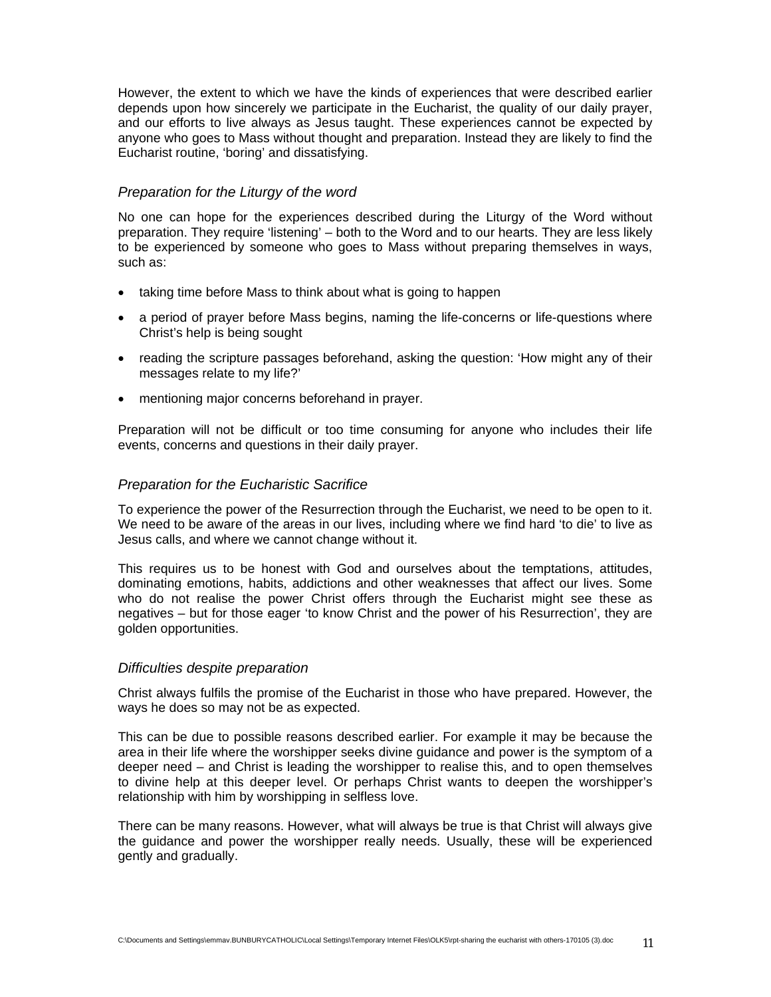However, the extent to which we have the kinds of experiences that were described earlier depends upon how sincerely we participate in the Eucharist, the quality of our daily prayer, and our efforts to live always as Jesus taught. These experiences cannot be expected by anyone who goes to Mass without thought and preparation. Instead they are likely to find the Eucharist routine, 'boring' and dissatisfying.

# *Preparation for the Liturgy of the word*

No one can hope for the experiences described during the Liturgy of the Word without preparation. They require 'listening' – both to the Word and to our hearts. They are less likely to be experienced by someone who goes to Mass without preparing themselves in ways, such as:

- taking time before Mass to think about what is going to happen
- a period of prayer before Mass begins, naming the life-concerns or life-questions where Christ's help is being sought
- reading the scripture passages beforehand, asking the question: 'How might any of their messages relate to my life?'
- mentioning major concerns beforehand in prayer.

Preparation will not be difficult or too time consuming for anyone who includes their life events, concerns and questions in their daily prayer.

# *Preparation for the Eucharistic Sacrifice*

To experience the power of the Resurrection through the Eucharist, we need to be open to it. We need to be aware of the areas in our lives, including where we find hard 'to die' to live as Jesus calls, and where we cannot change without it.

This requires us to be honest with God and ourselves about the temptations, attitudes, dominating emotions, habits, addictions and other weaknesses that affect our lives. Some who do not realise the power Christ offers through the Eucharist might see these as negatives – but for those eager 'to know Christ and the power of his Resurrection', they are golden opportunities.

#### *Difficulties despite preparation*

Christ always fulfils the promise of the Eucharist in those who have prepared. However, the ways he does so may not be as expected.

This can be due to possible reasons described earlier. For example it may be because the area in their life where the worshipper seeks divine guidance and power is the symptom of a deeper need – and Christ is leading the worshipper to realise this, and to open themselves to divine help at this deeper level. Or perhaps Christ wants to deepen the worshipper's relationship with him by worshipping in selfless love.

There can be many reasons. However, what will always be true is that Christ will always give the guidance and power the worshipper really needs. Usually, these will be experienced gently and gradually.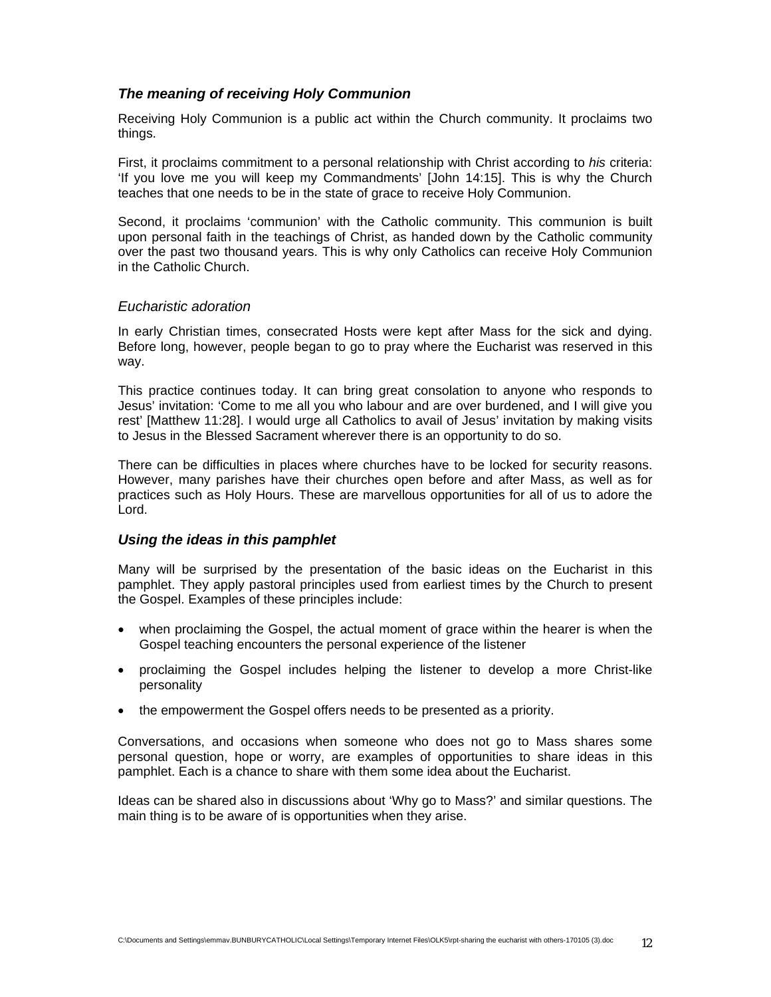# *The meaning of receiving Holy Communion*

Receiving Holy Communion is a public act within the Church community. It proclaims two things.

First, it proclaims commitment to a personal relationship with Christ according to *his* criteria: 'If you love me you will keep my Commandments' [John 14:15]. This is why the Church teaches that one needs to be in the state of grace to receive Holy Communion.

Second, it proclaims 'communion' with the Catholic community. This communion is built upon personal faith in the teachings of Christ, as handed down by the Catholic community over the past two thousand years. This is why only Catholics can receive Holy Communion in the Catholic Church.

## *Eucharistic adoration*

In early Christian times, consecrated Hosts were kept after Mass for the sick and dying. Before long, however, people began to go to pray where the Eucharist was reserved in this way.

This practice continues today. It can bring great consolation to anyone who responds to Jesus' invitation: 'Come to me all you who labour and are over burdened, and I will give you rest' [Matthew 11:28]. I would urge all Catholics to avail of Jesus' invitation by making visits to Jesus in the Blessed Sacrament wherever there is an opportunity to do so.

There can be difficulties in places where churches have to be locked for security reasons. However, many parishes have their churches open before and after Mass, as well as for practices such as Holy Hours. These are marvellous opportunities for all of us to adore the Lord.

# *Using the ideas in this pamphlet*

Many will be surprised by the presentation of the basic ideas on the Eucharist in this pamphlet. They apply pastoral principles used from earliest times by the Church to present the Gospel. Examples of these principles include:

- when proclaiming the Gospel, the actual moment of grace within the hearer is when the Gospel teaching encounters the personal experience of the listener
- proclaiming the Gospel includes helping the listener to develop a more Christ-like personality
- the empowerment the Gospel offers needs to be presented as a priority.

Conversations, and occasions when someone who does not go to Mass shares some personal question, hope or worry, are examples of opportunities to share ideas in this pamphlet. Each is a chance to share with them some idea about the Eucharist.

Ideas can be shared also in discussions about 'Why go to Mass?' and similar questions. The main thing is to be aware of is opportunities when they arise.